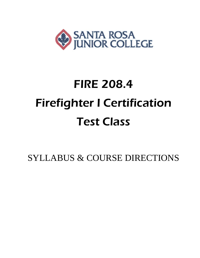

# FIRE 208.4 Firefighter I Certification Test Class

SYLLABUS & COURSE DIRECTIONS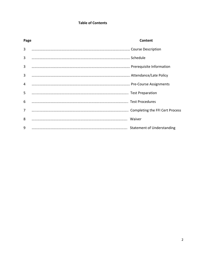# **Table of Contents**

| Page           | Content                         |
|----------------|---------------------------------|
| 3              |                                 |
| 3              |                                 |
| 3              |                                 |
| 3              |                                 |
| 4              |                                 |
| 5              |                                 |
| 6              |                                 |
| $\overline{7}$ | Completing the FFI Cert Process |
| 8              |                                 |
| 9              |                                 |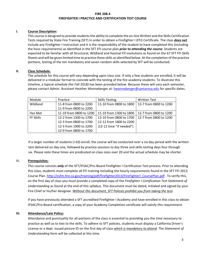#### **FIRE 208.4 FIREFIGHTER I PRACTICE AND CERTIFICATION TEST COURSE**

# **I. Course Description:**

This course is designed to provide students the ability to complete the on-line Written and the Skills Certification Tests required by State Fire Training (SFT) in order to obtain a Firefighter I (FFI) Certificate. The class *does not* include any Firefighter I instruction and it is the responsibility of the student to have completed this (including the hour requirements) as identified in the SFT FFI course plan *prior to attending the course*. Students are expected to be familiar with all Structural, Wildland and Hazmat FFI evolutions as found on the 67 SFT FFI Skills Sheets and will be given limited time to practice these skills as identified below. At the completion of the practice portions, testing of the ten mandatory and seven random skills selected by SFT will be conducted.

#### **II. Class Schedule:**

The schedule for this course will vary depending upon class size. If only a few students are enrolled, it will be delivered in a modular format to coincide with the testing of the fire academy students. To illustrate this timeline, a typical schedule (for Fall 2018) has been provided below. Because these will vary each semester, please contact Admin. Assistant Heather Wonneberger at: hwonneberger@santarosa.edu for specific dates.

| Module    | Practice                | <b>Skills Testing</b>    | <b>Written Test</b>    |
|-----------|-------------------------|--------------------------|------------------------|
| Wildland  | 11-8 from 0800 to 2200  | 11-10 from 0800 to 1800  | 12-7 from 0800 to 1200 |
|           | 11-9 from 0800 to 2200  |                          |                        |
| Haz Mat   | 11-19 from 0800 to 1200 | 11-19 from 1300 to 1800  | 12-7 from 0800 to 1200 |
| FF Skills | 12-2 from 1300 to 1700  | 12-10 from 0800 to 1700  | 12-7 from 0800 to 1200 |
|           | 12-3 from 0800 to 1700  | 12-12 from 1800 to 2200  |                        |
|           | 12-5 from 1900 to 2200  | (12-12 time "if needed") |                        |
|           | 12-9 from 0800 to 1700  |                          |                        |

 If a larger number of students (>10) enroll, the course will be conducted over a six day period with the written test delivered on day one, followed by practice sessions to day three and skills testing days four through six. Please note these times are predicated on class sizes over 20 and the actual schedule may be shorter.

# III. **Prerequisites:**

This course consists *only* of the SFT/IFSAC/Pro‐Board Firefighter I Certification Test process. Prior to attending this class, students must complete all FFI training including the hourly requirements found in the SFT FFI 2013 Course Plan. http://osfm.fire.ca.gov/training/pdf/firefighter2013/FireFighterI\_CoursePlan.pdf . To verify this, on the first day of class you must provide a completed copy of the *Firefighter I Certification Test Statement of Understanding* as found at the end of this syllabus. This document must be dated, initialed and signed by your Fire Chief or his/her designee. *Without this document, SFT Policies prohibit you from taking the test.*

If you have previously attended a SFT accredited Firefighter I Academy and have enrolled in this class to obtain IFSAC/Pro‐Board certification, a copy of your Academy Completion certificate will satisfy this requirement.

# **IV. Attendance/Late Policy:**

Attendance and punctuality for all portions of the class is essential to providing you the time necessary to practice as well as to test to the skills. To adhere to SFT policies, students must display a California Driver's License or a dept. issued picture ID on the first day of class *which is mandatory to attend*. The *Statement of Understanding* form will be collected at this time.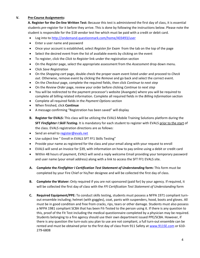#### **V. Pre‐Course Assignments:**

**A. Register for the On‐line Written Test:** Because this test is administered the first day of class, it is essential students *pre*-register for it before they arrive. This is done by following the instructions below. Please note the student is responsible for the \$18 vendor test fee which must be paid with a credit or debit card.

- Log into to http://ondemand.questionmark.com/home/403493/user
- Enter a user name and password
- Once your account is established, select *Register for Exam* from the tab on the top of the page
- Select the desired event from the list of available events by clicking on the event
- To register, click the *Click to Register* link under the registration section
- On the *Register* page, select the appropriate assessment from the *Assessment* drop down menu*.*
- Click *Save Registration*
- On the *Shopping cart* page, double check the proper exam event listed under and proceed to *Check out*. Otherwise, remove event by clicking the *Remove* and go back and select the correct event.
- On the *Checkout* page, complete the required fields, then click *Continue to next step*
- On the *Review Order* page, review your order before clicking *Continue to next step*
- You will be redirected to the payment processor's website (Avangate) where you will be required to complete all billing related information. Complete all required fields in the *Billing Information* section
- Complete all required fields in the *Payment Options* section
- When finished, click **Continue**
- A message confirming "Registration has been saved" will display
- **B. Register for EVALS:** This class will be utilizing the EVALS Mobile Training Solutions platform during the **SFT** *Firefighter I Skill Testing.* It is mandatory for each student to register with EVALS prior to the start of the class. EVALS registration directions are as follows:
- Send an email to register@evals.net
- Use subject line " Enroll in EVALS SFT FF1 Skills Testing"
- Provide your name as registered for the class and your email along with your request to enroll
- EVALS will send an Invoice for \$39, with information on how to pay online using a debit or credit card
- Within 48 hours of payment, EVALS will send a reply welcome Email providing your temporary password and user name (your email address) along with a link to access the SFT FF1 EVALS site.
- **A. Complete the** *Firefighter I Certification Test Statement of Understanding* **form:** This form must be completed by your Fire Chief or his/her designee and will be collected the first day of class.
- **B. Complete the Waiver:** Only required if you are not sponsored (paid for) by your agency. If required, it will be collected the first day of class with the *FFI Certification Test Statement of Understanding* form
- **C. Required Equipment/PPE:** To conduct skills testing, students must possess a NFPA 1971 compliant turn‐ out ensemble including; helmet (with goggles), coat, pants with suspenders, hood, boots and gloves. All must be in good condition and free from cracks, rips, tears or other damage. Students must also possess a NFPA 1981 compliant SCBA that has been Fit-Tested to the person using it. If there is any question to this, proof of the Fit Test including the medical questionnaire completed by a physician may be required. Students belonging to a fire agency should use their own department issued PPE/SCBA. However, if there is any question the turn‐outs you plan to use are not compliant, a full turn‐out ensemble can be rented and must be obtained prior to the first day of class from 911 Safety at www.911SE.com or 610‐ 279‐6808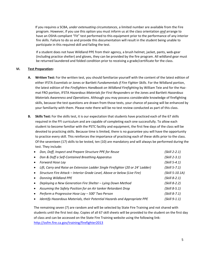If you requires a SCBA, *under extenuating circumstances*, a limited number are available from the Fire program. However, if you use this option you must inform us at the class orientation *and* arrange to have an OSHA compliant "Fit" test performed to this equipment prior to the performance of any interior fire skills. Failure to do so and provide this documentation will result in the student being unable to participate in this required skill and failing the test.

If a student does not have Wildland PPE from their agency, a brush helmet, jacket, pants, web‐gear (including practice shelter) and gloves, they can be provided by the fire program. All wildland gear must be returned laundered and folded condition prior to receiving a grade/certificate for the class.

#### **VI. Test Preparation:**

- **A. Written Test:** For the written test, you should familiarize yourself with the content of the latest edition of either IFSTA *Essentials* or Jones or Bartlett *Fundamentals if Fire Fighter Skills*. For the Wildland portion, the latest edition of the *Firefighters Handbook on Wildland Firefighting* by William Teie and for the Haz‐ mat FRO portion, IFSTA *Hazardous Materials for First Responders* or the Jones and Bartlett *Hazardous Materials Awareness and Operations*. Although you may possess considerable knowledge of firefighting skills, because the test questions are drawn from those texts, your chance of passing will be enhanced by your familiarity with them. Please note there will be no test review conducted as part of this class.
- **B. Skills Test:** For the skills test, it is our expectation that students have practiced each of the 67 skills required in the FFI curriculum and are capable of completing each one successfully. To allow each student to become familiar with the PSTC facility and equipment, the first few days of the class will be devoted to practicing skills. Because time is limited, there is no guarantee you will have the opportunity to practice every skill. This reinforces the importance of practicing each of these skills prior to the class. Of the seventeen (17) skills to be tested, ten (10) are mandatory and will always be performed during the test. They include:

|           | Don, Doff, Inspect and Prepare Structure PPE for Reuse                          | $(Skill 2-2.1)$ |
|-----------|---------------------------------------------------------------------------------|-----------------|
| $\bullet$ | Don & Doff a Self-Contained Breathing Apparatus                                 | $(Skill 2-3.1)$ |
| $\bullet$ | Forward Hose Lay                                                                | $(Skill 5-4.1)$ |
|           | Lift, Carry and Raise an Extension Ladder Single Firefighter (20 or 24' Ladder) | $(Skill 5-7.1)$ |
| $\bullet$ | Structure Fire Attack - Interior Grade Level, Above or below (Live Fire)        | (Skill 5-10.1A) |
|           | Donning Wildland PPE                                                            | $(Skill 8-2.1)$ |
|           | Deploying a New Generation Fire Shelter - Lying Down Method                     | $(Skill 8-2.2)$ |
| $\bullet$ | Assuming the Safety Position for an Air tanker Retardant Drop                   | $(Skill 8-5.1)$ |
|           | Perform a Progressive Hose Lay - 500' Two Person                                | $(Skill 8-7.1)$ |
| $\bullet$ | Identify Hazardous Materials, their Potential Hazards and Appropriate PPE       | (Skill 9-1.1)   |

The remaining seven (7) are random and will be selected by State Fire Training and not shared with students until the first test day. Copies of all 67 skill sheets will be provided to the student on the first day of class and can be accessed on the State Fire Training website using the following link: http://osfm.fire.ca.gov/training/firefighter2013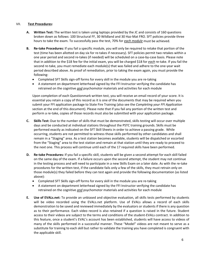#### VII. **Test Procedures:**

- **A. Written Test:** The written test is taken using laptops provided by the JC and consists of 160 questions broken down as follows: 100 Structural FF, 30 Wildland and 30 Haz‐Mat FRO. SFT policies provide three hours to take the exam. To successfully pass the test, 70% for *each module* must be achieved.
- **B. Re‐take Procedures:** If you fail a specific module, you will only be required to retake that portion of the test (time has been allotted on day six for re-takes if necessary). SFT policies permit two retakes within a one year period and second re‐takes (if needed) will be scheduled on a case‐by‐case basis. Please note that in addition to the \$18 fee for the initial exam, you will be charged \$18 for *each* re‐take. If you fail the second re-take, you must remediate each module(s) that was failed and adhere to the one-year wait period described above. As proof of remediation, prior to taking the exam again, you must provide the following:
	- Completed SFT Skills sign-off forms for every skill in the module you are re-taking
	- A statement on department letterhead signed by the FFI Instructor verifying the candidate has retrained on the cognitive *and* psychomotor materials and activities for each module

Upon completion of each Questionmark written test, you will receive an email record of your score. It is essential you retain a copy of this record as it is one of the documents that may be required when you submit your FFI application package to State Fire Training (also see the *Completing your FFI Application*  section at the end of this document). Please note that if you fail any portion of the written test and perform a re‐take, copies of those records must also be submitted with your application package.

- **C. Skills Test:** Due to the number of skills that must be demonstrated, skills testing will occur over multiple days and be conducted at individual stations throughout the PSTC training grounds. Skills must be performed exactly as indicated on the SFT Skill Sheets in order to achieve a passing grade. While occurring, students are not permitted to witness those skills performed by other candidates and shall remain in a "Staging" area. As a test station becomes available, students will be dispatched or escorted from the "Staging" area to the test station and remain at that station until they are ready to proceed to the next one. This process will continue until each of the 17 required skills have been performed.
- **D. Re‐take Procedures:** If you fail a specific skill, students will be given a second attempt for each skill failed on the same day of the exam. If a failure occurs upon the second attempt, the student may not continue in the testing process and will need to participate in a new Skills Exam on a later date. As with the re‐take procedures for the written test, if the candidate fails only a few of the skills, they must retrain only on those module(s) they failed before they can test again and provide the following documentation (as listed above):
	- Completed SFT Skills sign‐off forms for every skill in the module you are re‐taking
	- A statement on department letterhead signed by the FFI Instructor verifying the candidate has retrained on the cognitive *and* psychomotor materials and activities for each module
- **E. Use of EVALs.net:** To provide an unbiased and objective evaluation, all skills tests performed by students will be video recorded using the EVALs.net platform. Use of EVALs allows a record of each skills demonstration to be saved and reviewed immediately by the evaluators or students if there is any question as to their performance. Each video record is also retained if a question is raised in the future. Student access to their videos are subject to the terms and conditions of the student‐EVALs contract. In addition to this feature, once a student's EVAL's account has been established, students will have access to videos of many of the skills performed in a successful manner. These "Model" videos are not meant to serve as a substitute for training to each skill but rather to validate the training you have completed is congruent with the applicable skill.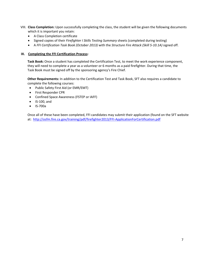- VIII. **Class Completion:** Upon successfully completing the class, the student will be given the following documents which it is important you retain:
	- A Class Completion certificate
	- Signed copies of their *Firefighter I Skills Testing Summary* sheets (completed during testing)
	- A *FFI Certification Task Book (October 2013)* with the *Structure Fire Attack (Skill 5‐10.1A)* signed off.

## **IX. Completing the FFI Certification Process:**

 **Task Book:** Once a student has completed the Certification Test, to meet the work experience component, they will need to complete a year as a volunteer or 6 months as a paid firefighter. During that time, the Task Book must be signed off by the sponsoring agency's Fire Chief.

 **Other Requirements:** In addition to the Certification Test and Task Book, SFT also requires a candidate to complete the following courses:

- Public Safety First Aid (or EMR/EMT)
- First Responder CPR
- Confined Space Awareness (FSTEP or IAFF)
- $\bullet$  IS-100, and
- IS‐700a

 Once all of these have been completed, FFI candidates may submit their application (found on the SFT website at: http://osfm.fire.ca.gov/training/pdf/firefighter2013/FFI‐ApplicationForCertification.pdf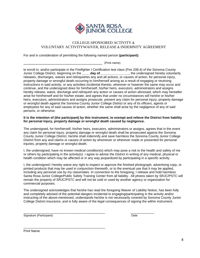

# COLLEGE-SPONSORED ACTIVITY & VOLUNTARY ACTIVITYWAIVER, RELEASE & INDEMNITY AGREEMENT

For and in consideration of permitting the following named person **(participant):** 

\_\_\_\_\_\_\_\_\_\_\_\_\_\_\_\_\_\_\_\_\_\_\_\_\_\_\_\_\_\_\_\_\_\_\_\_\_\_\_\_\_\_\_ (Print name)

to enroll in; and/or participate in the Firefighter I Certification test class (Fire 208.4) of the Sonoma County Junior College District, beginning on the **\_\_\_\_ day of\_\_\_\_\_\_\_\_\_\_\_\_\_\_\_\_**, the undersigned hereby voluntarily releases, discharges, waives and relinquishes any and all actions, or causes of action, for personal injury, property damage or wrongful death occurring to him/herself arising as a result of engaging or receiving instructions in said activity, or any activities incidental thereto, wherever or however the same may occur and continue, and the undersigned does for him/herself, his/her heirs, executors, administrators and assigns hereby release, waive, discharge and relinquish any action or causes of action aforesaid, which may hereafter arise for him/herself and for his/her estate, and agrees that under no circumstances will he/she or his/her heirs, executors, administrators and assigns prosecute, present any claim for personal injury, property damage or wrongful death against the Sonoma County Junior College District or any of its officers, agents or employees for any of said causes of action, whether the same shall arise by the negligence of any of said persons, or otherwise.

#### **It is the intention of (the participant) by this instrument, to exempt and relieve the District from liability for personal injury, property damage or wrongful death caused by negligence.**

The undersigned, for him/herself, his/her heirs, executors, administrators or assigns, agrees that in the event any claim for personal injury, property damage or wrongful death shall be prosecuted against the Sonoma County Junior College District, he/she shall indemnify and save harmless the Sonoma County Junior College District from any and claims or causes of action by whomever or wherever made or presented for personal injuries, property damage or wrongful death.

I, the undersigned, have no known medical condition(s) which may pose a risk to the health and safety of me or others by participating in the activity(s). I agree to advise the District in writing of any medical, physical or health condition which may be affected or in any way jeopardized by participating in a specific activity.

I, the undersigned I hereby waive any right to inspect or approve the finished photograph, advertising copy, or printed products that may be used in conjunction therewith, or to the eventual use that it may be applied, including any personal use by my classmates. In connection to the foregoing, I release and hold harmless Santa Rosa Junior College/Public Safety Training Center from all liability. All photos taken by SRJC/PSTC will remain the property of SRJC/PSTC and will not be sold or used by another agency or organization for commercial purposes.

The undersigned acknowledges that he/she has read the foregoing Waiver of Liability Notice, has been fully and completely advised of the potential dangers incidental to engaging/participating in the activity and/or instructing of the above-mentioned, understands he/she is not necessarily covered by Sonoma County Junior College District insurance, and is fully aware of the legal consequences of signing the within instrument.

\_\_\_\_\_\_\_\_\_\_\_\_\_\_\_\_\_\_\_\_\_\_\_\_\_\_\_\_\_\_\_\_\_\_\_\_\_\_\_\_\_\_\_\_\_ \_\_\_\_\_\_\_\_\_\_\_\_\_ Signature (Participant) Date

\_\_\_\_\_\_\_\_\_\_\_\_\_\_\_\_\_\_\_\_\_\_\_\_\_\_\_\_\_\_\_\_\_\_\_\_\_\_\_\_\_\_\_\_\_

Print Name